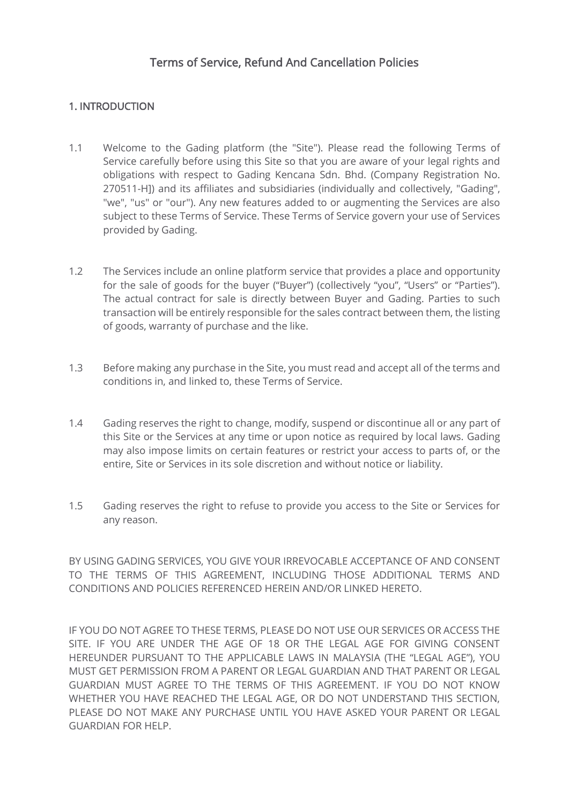# 1. INTRODUCTION

- 1.1 Welcome to the Gading platform (the "Site"). Please read the following Terms of Service carefully before using this Site so that you are aware of your legal rights and obligations with respect to Gading Kencana Sdn. Bhd. (Company Registration No. 270511-H]) and its affiliates and subsidiaries (individually and collectively, "Gading", "we", "us" or "our"). Any new features added to or augmenting the Services are also subject to these Terms of Service. These Terms of Service govern your use of Services provided by Gading.
- 1.2 The Services include an online platform service that provides a place and opportunity for the sale of goods for the buyer ("Buyer") (collectively "you", "Users" or "Parties"). The actual contract for sale is directly between Buyer and Gading. Parties to such transaction will be entirely responsible for the sales contract between them, the listing of goods, warranty of purchase and the like.
- 1.3 Before making any purchase in the Site, you must read and accept all of the terms and conditions in, and linked to, these Terms of Service.
- 1.4 Gading reserves the right to change, modify, suspend or discontinue all or any part of this Site or the Services at any time or upon notice as required by local laws. Gading may also impose limits on certain features or restrict your access to parts of, or the entire, Site or Services in its sole discretion and without notice or liability.
- 1.5 Gading reserves the right to refuse to provide you access to the Site or Services for any reason.

BY USING GADING SERVICES, YOU GIVE YOUR IRREVOCABLE ACCEPTANCE OF AND CONSENT TO THE TERMS OF THIS AGREEMENT, INCLUDING THOSE ADDITIONAL TERMS AND CONDITIONS AND POLICIES REFERENCED HEREIN AND/OR LINKED HERETO.

IF YOU DO NOT AGREE TO THESE TERMS, PLEASE DO NOT USE OUR SERVICES OR ACCESS THE SITE. IF YOU ARE UNDER THE AGE OF 18 OR THE LEGAL AGE FOR GIVING CONSENT HEREUNDER PURSUANT TO THE APPLICABLE LAWS IN MALAYSIA (THE "LEGAL AGE"), YOU MUST GET PERMISSION FROM A PARENT OR LEGAL GUARDIAN AND THAT PARENT OR LEGAL GUARDIAN MUST AGREE TO THE TERMS OF THIS AGREEMENT. IF YOU DO NOT KNOW WHETHER YOU HAVE REACHED THE LEGAL AGE, OR DO NOT UNDERSTAND THIS SECTION, PLEASE DO NOT MAKE ANY PURCHASE UNTIL YOU HAVE ASKED YOUR PARENT OR LEGAL GUARDIAN FOR HELP.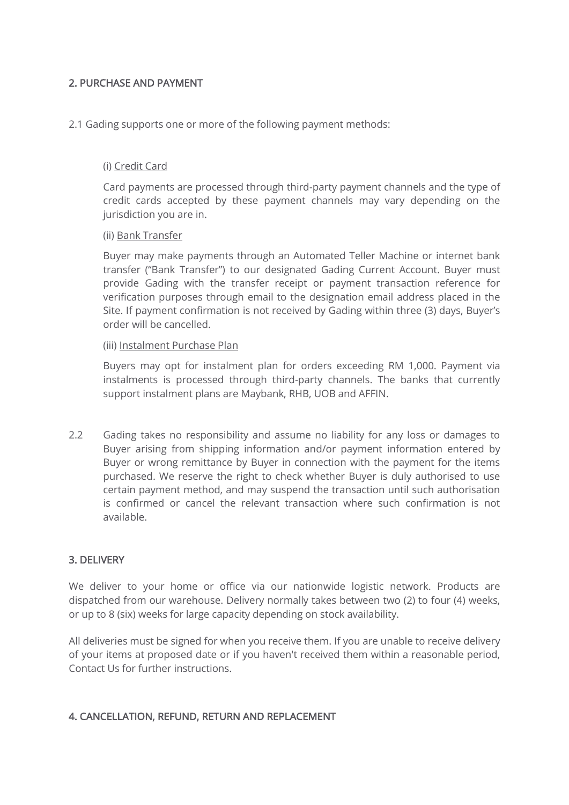## 2. PURCHASE AND PAYMENT

2.1 Gading supports one or more of the following payment methods:

### (i) Credit Card

Card payments are processed through third-party payment channels and the type of credit cards accepted by these payment channels may vary depending on the jurisdiction you are in.

#### (ii) Bank Transfer

Buyer may make payments through an Automated Teller Machine or internet bank transfer ("Bank Transfer") to our designated Gading Current Account. Buyer must provide Gading with the transfer receipt or payment transaction reference for verification purposes through email to the designation email address placed in the Site. If payment confirmation is not received by Gading within three (3) days, Buyer's order will be cancelled.

#### (iii) Instalment Purchase Plan

Buyers may opt for instalment plan for orders exceeding RM 1,000. Payment via instalments is processed through third-party channels. The banks that currently support instalment plans are Maybank, RHB, UOB and AFFIN.

2.2 Gading takes no responsibility and assume no liability for any loss or damages to Buyer arising from shipping information and/or payment information entered by Buyer or wrong remittance by Buyer in connection with the payment for the items purchased. We reserve the right to check whether Buyer is duly authorised to use certain payment method, and may suspend the transaction until such authorisation is confirmed or cancel the relevant transaction where such confirmation is not available.

#### 3. DELIVERY

We deliver to your home or office via our nationwide logistic network. Products are dispatched from our warehouse. Delivery normally takes between two (2) to four (4) weeks, or up to 8 (six) weeks for large capacity depending on stock availability.

All deliveries must be signed for when you receive them. If you are unable to receive delivery of your items at proposed date or if you haven't received them within a reasonable period, Contact Us for further instructions.

#### 4. CANCELLATION, REFUND, RETURN AND REPLACEMENT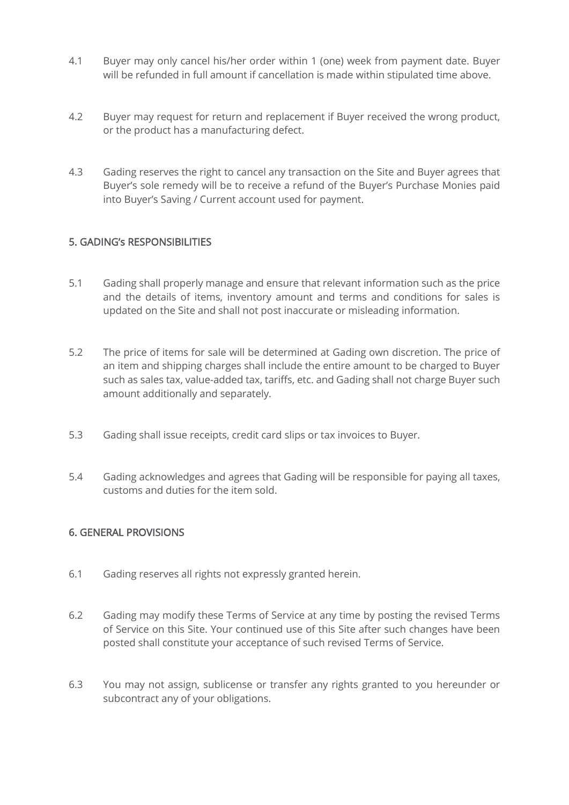- 4.1 Buyer may only cancel his/her order within 1 (one) week from payment date. Buyer will be refunded in full amount if cancellation is made within stipulated time above.
- 4.2 Buyer may request for return and replacement if Buyer received the wrong product, or the product has a manufacturing defect.
- 4.3 Gading reserves the right to cancel any transaction on the Site and Buyer agrees that Buyer's sole remedy will be to receive a refund of the Buyer's Purchase Monies paid into Buyer's Saving / Current account used for payment.

## 5. GADING's RESPONSIBILITIES

- 5.1 Gading shall properly manage and ensure that relevant information such as the price and the details of items, inventory amount and terms and conditions for sales is updated on the Site and shall not post inaccurate or misleading information.
- 5.2 The price of items for sale will be determined at Gading own discretion. The price of an item and shipping charges shall include the entire amount to be charged to Buyer such as sales tax, value-added tax, tariffs, etc. and Gading shall not charge Buyer such amount additionally and separately.
- 5.3 Gading shall issue receipts, credit card slips or tax invoices to Buyer.
- 5.4 Gading acknowledges and agrees that Gading will be responsible for paying all taxes, customs and duties for the item sold.

## 6. GENERAL PROVISIONS

- 6.1 Gading reserves all rights not expressly granted herein.
- 6.2 Gading may modify these Terms of Service at any time by posting the revised Terms of Service on this Site. Your continued use of this Site after such changes have been posted shall constitute your acceptance of such revised Terms of Service.
- 6.3 You may not assign, sublicense or transfer any rights granted to you hereunder or subcontract any of your obligations.